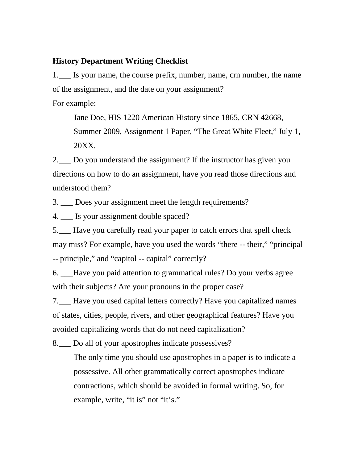## **History Department Writing Checklist**

1.\_\_\_ Is your name, the course prefix, number, name, crn number, the name of the assignment, and the date on your assignment? For example:

Jane Doe, HIS 1220 American History since 1865, CRN 42668, Summer 2009, Assignment 1 Paper, "The Great White Fleet," July 1, 20XX.

2.\_\_\_ Do you understand the assignment? If the instructor has given you directions on how to do an assignment, have you read those directions and understood them?

3. \_\_\_ Does your assignment meet the length requirements?

4. \_\_\_ Is your assignment double spaced?

5.\_\_\_ Have you carefully read your paper to catch errors that spell check may miss? For example, have you used the words "there -- their," "principal -- principle," and "capitol -- capital" correctly?

6. \_\_\_Have you paid attention to grammatical rules? Do your verbs agree with their subjects? Are your pronouns in the proper case?

7.\_\_\_ Have you used capital letters correctly? Have you capitalized names of states, cities, people, rivers, and other geographical features? Have you avoided capitalizing words that do not need capitalization?

8.\_\_\_ Do all of your apostrophes indicate possessives?

The only time you should use apostrophes in a paper is to indicate a possessive. All other grammatically correct apostrophes indicate contractions, which should be avoided in formal writing. So, for example, write, "it is" not "it's."